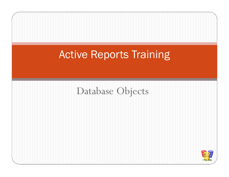# Active Reports Training

#### Database Objects

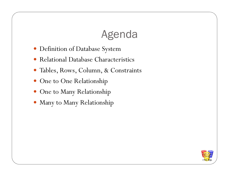#### Agenda

- $\bullet$ Definition of Database System
- Relational Database Characteristics  $\bullet$
- Tables, Rows, Column, & Constraints
- One to One Relationship
- One to Many Relationship
- Many to Many Relationship

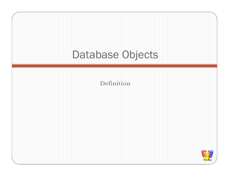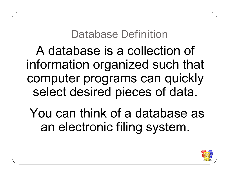# Database Definition

A database is a collection of information organized such that computer programs can quickly select desired pieces of data.

You can think of a database as an electronic filing system.

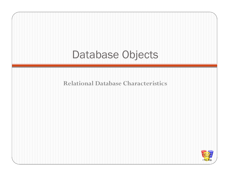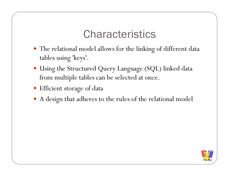#### Characteristics

- The relational model allows for the linking of different data tables using 'keys'.
- Using the Structured Query Language (SQL) linked data from multiple tables can be selected at once.
- Efficient storage of data
- A design that adheres to the rules of the relational model

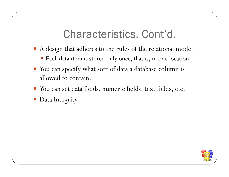# Characteristics, Cont'd.

- A design that adheres to the rules of the relational model
	- Each data item is stored only once, that is, in one location.
- You can specify what sort of data a database column is allowed to contain.
- You can set data fields, numeric fields, text fields, etc.
- Data Integrity

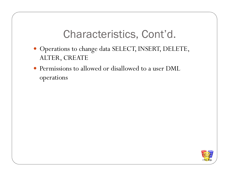# Characteristics, Cont'd.

- Operations to change data SELECT, INSERT, DELETE, ALTER, CREATE
- Permissions to allowed or disallowed to a user DML operations

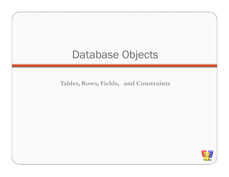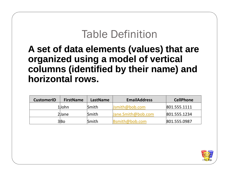#### Table Definition

#### **A set of data elements (values) that are organized using a model of vertical columns (identified by their name) and horizontal rows.**

| <b>CustomerID</b> | <b>FirstName</b> | <b>LastName</b> | <b>EmailAddress</b> | <b>CellPhone</b> |
|-------------------|------------------|-----------------|---------------------|------------------|
|                   | 1John            | <b>Smith</b>    | Jsmith@bob.com      | 801.555.1111     |
|                   | 2Jane            | <b>Smith</b>    | Jane.Smith@bob.com  | 801.555.1234     |
|                   | 3 Bo             | Smith           | Bsmith@bob.com      | 801.555.0987     |

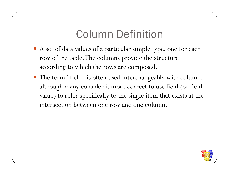# Column Definition

- A set of data values of a particular simple type, one for each row of the table. The columns provide the structureaccording to which the rows are composed.
- The term "field" is often used interchangeably with column, although many consider it more correct to use field (or field value) to refer specifically to the single item that exists at the intersection between one row and one column.

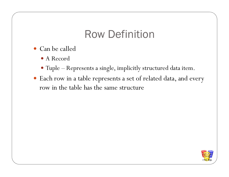# Row Definition

- Can be called
	- A Record
	- Tuple Represents a single, implicitly structured data item.
- Each row in a table represents a set of related data, and every row in the table has the same structure

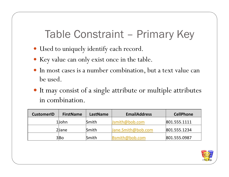Table Constraint – Primary Key

- Used to uniquely identify each record.
- Key value can only exist once in the table.
- 0 In most cases is a number combination, but a text value can be used.
- It may consist of a single attribute or multiple attributes in combination.

| <b>CustomerID</b> | <b>FirstName</b> | LastName     | <b>EmailAddress</b> | <b>CellPhone</b> |
|-------------------|------------------|--------------|---------------------|------------------|
|                   | 1John            | <b>Smith</b> | Jsmith@bob.com      | 801.555.1111     |
|                   | 2Jane            | <b>Smith</b> | Jane.Smith@bob.com  | 801.555.1234     |
|                   | 3lBo             | <b>Smith</b> | Bsmith@bob.com      | 801.555.0987     |

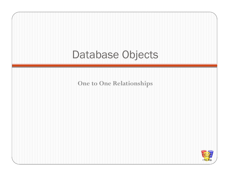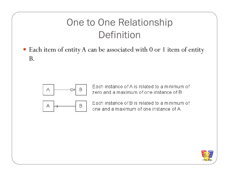#### One to One RelationshipDefinition

 Each item of entity A can be associated with 0 or 1 item of entity B.



Each instance of A is related to a minimum of zero and a maximum of one instance of B



Each instance of B is related to a minimum of one and a maximum of one instance of A

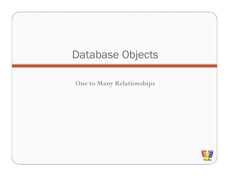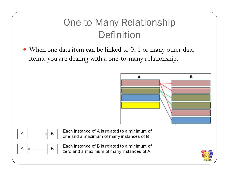# One to Many RelationshipDefinition

 When one data item can be linked to 0, 1 or many other data items, you are dealing with a one-to-many relationship.





Each instance of A is related to a minimum of one and a maximum of many instances of B



Each instance of B is related to a minimum of zero and a maximum of many instances of A

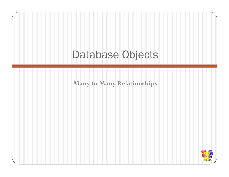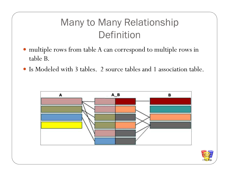## Many to Many RelationshipDefinition

- multiple rows from table A can correspond to multiple rows in table B.
- Is Modeled with 3 tables. 2 source tables and 1 association table.